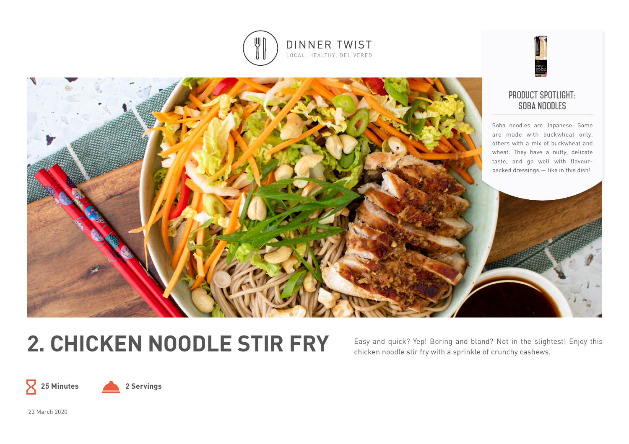



# 2. CHICKEN NOODLE STIR FRY Easy and quick? Yep! Boring and bland? Not in the slightest! Enjoy this

chicken noodle stir fry with a sprinkle of crunchy cashews.





23 March 2020